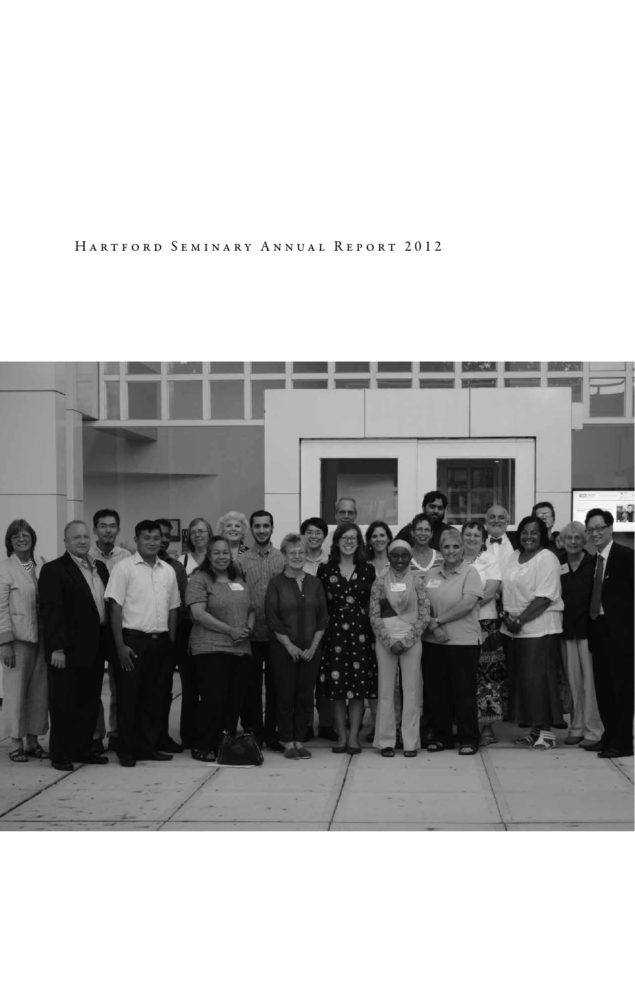Hartford Seminary Annual Report 2012

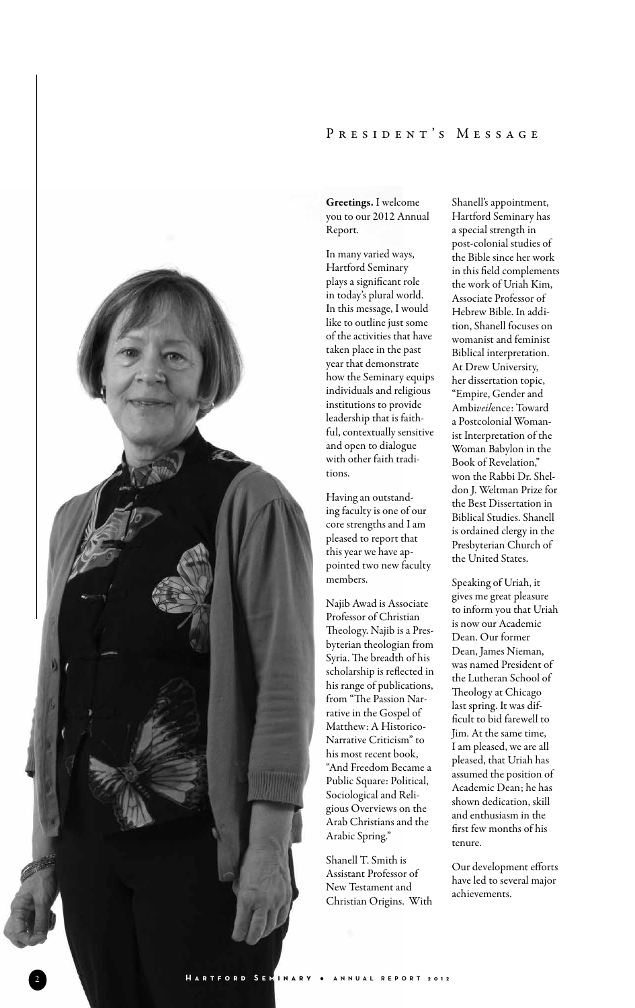### PRESIDENT'S MESSAGE



Greetings. I welcome you to our 2012 Annual Report.

In many varied ways, Hartford Seminary plays a significant role in today's plural world. In this message, I would like to outline just some of the activities that have taken place in the past year that demonstrate how the Seminary equips individuals and religious institutions to provide leadership that is faith ful, contextually sensitive and open to dialogue with other faith tradi tions.

Having an outstand ing faculty is one of our core strengths and I am pleased to report that this year we have ap pointed two new faculty members.

Najib Awad is Associate Professor of Christian Theology. Najib is a Pres byterian theologian from Syria. The breadth of his scholarship is reflected in his range of publications, from "The Passion Nar rative in the Gospel of Matthew: A Historico-Narrative Criticism" to his most recent book, "And Freedom Became a Public Square: Political, Sociological and Reli gious Overviews on the Arab Christians and the Arabic Spring."

Shanell T. Smith is Assistant Professor of New Testament and Christian Origins. With

Shanell's appointment, Hartford Seminary has a special strength in post-colonial studies of the Bible since her work in this field complements the work of Uriah Kim, Associate Professor of Hebrew Bible. In addi tion, Shanell focuses on womanist and feminist Biblical interpretation. At Drew University, her dissertation topic, "Empire, Gender and Ambi*veil*ence: Toward a Postcolonial Woman ist Interpretation of the Woman Babylon in the Book of Revelation," won the Rabbi Dr. Shel don J. Weltman Prize for the Best Dissertation in Biblical Studies. Shanell is ordained clergy in the Presbyterian Church of the United States.

Speaking of Uriah, it gives me great pleasure to inform you that Uriah is now our Academic Dean. Our former Dean, James Nieman, was named President of the Lutheran School of Theology at Chicago last spring. It was difficult to bid farewell to Jim. At the same time, I am pleased, we are all pleased, that Uriah has assumed the position of Academic Dean; he has shown dedication, skill and enthusiasm in the first few months of his tenure.

Our development efforts have led to several major achievements.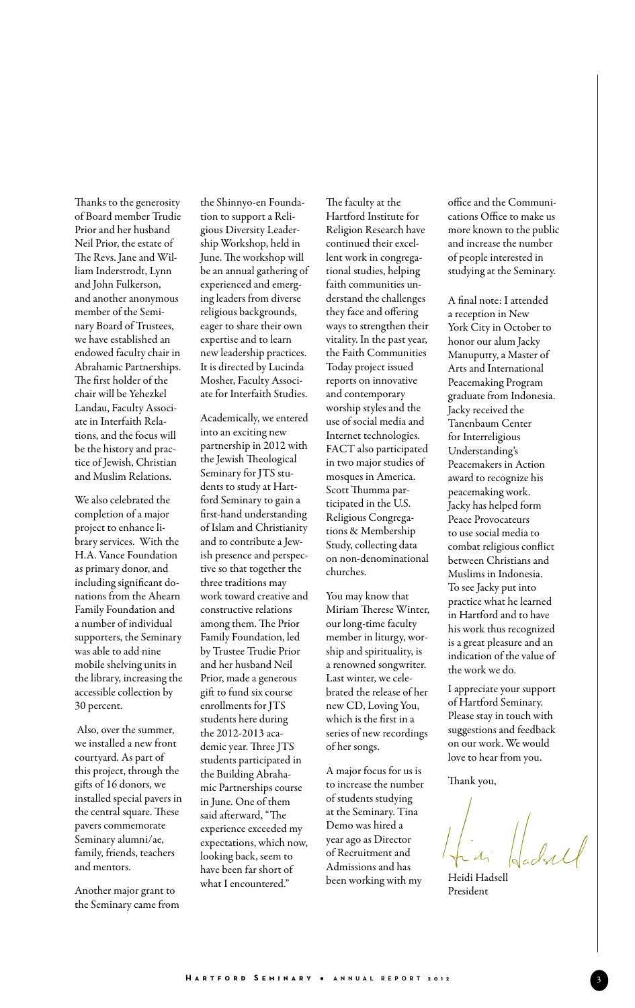Thanks to the generosity of Board member Trudie Prior and her husband Neil Prior, the estate of The Revs. Jane and William Inderstrodt, Lynn and John Fulkerson, and another anonymous member of the Seminary Board of Trustees, we have established an endowed faculty chair in Abrahamic Partnerships. The first holder of the chair will be Yehezkel Landau, Faculty Associate in Interfaith Relations, and the focus will be the history and practice of Jewish, Christian and Muslim Relations.

We also celebrated the completion of a major project to enhance library services. With the H.A. Vance Foundation as primary donor, and including significant donations from the Ahearn Family Foundation and a number of individual supporters, the Seminary was able to add nine mobile shelving units in the library, increasing the accessible collection by 30 percent.

 Also, over the summer, we installed a new front courtyard. As part of this project, through the gifts of 16 donors, we installed special pavers in the central square. These pavers commemorate Seminary alumni/ae, family, friends, teachers and mentors.

Another major grant to the Seminary came from

the Shinnyo-en Foundation to support a Religious Diversity Leadership Workshop, held in June. The workshop will be an annual gathering of experienced and emerging leaders from diverse religious backgrounds, eager to share their own expertise and to learn new leadership practices. It is directed by Lucinda Mosher, Faculty Associate for Interfaith Studies.

Academically, we entered into an exciting new partnership in 2012 with the Jewish Theological Seminary for JTS students to study at Hartford Seminary to gain a first-hand understanding of Islam and Christianity and to contribute a Jewish presence and perspective so that together the three traditions may work toward creative and constructive relations among them. The Prior Family Foundation, led by Trustee Trudie Prior and her husband Neil Prior, made a generous gift to fund six course enrollments for JTS students here during the 2012-2013 academic year. Three JTS students participated in the Building Abrahamic Partnerships course in June. One of them said afterward, "The experience exceeded my expectations, which now, looking back, seem to have been far short of what I encountered."

The faculty at the Hartford Institute for Religion Research have continued their excellent work in congregational studies, helping faith communities understand the challenges they face and offering ways to strengthen their vitality. In the past year, the Faith Communities Today project issued reports on innovative and contemporary worship styles and the use of social media and Internet technologies. FACT also participated in two major studies of mosques in America. Scott Thumma participated in the U.S. Religious Congregations & Membership Study, collecting data on non-denominational churches.

You may know that Miriam Therese Winter, our long-time faculty member in liturgy, worship and spirituality, is a renowned songwriter. Last winter, we celebrated the release of her new CD, Loving You, which is the first in a series of new recordings of her songs.

A major focus for us is to increase the number of students studying at the Seminary. Tina Demo was hired a year ago as Director of Recruitment and Admissions and has been working with my

office and the Communications Office to make us more known to the public and increase the number of people interested in studying at the Seminary.

A final note: I attended a reception in New York City in October to honor our alum Jacky Manuputty, a Master of Arts and International Peacemaking Program graduate from Indonesia. Jacky received the Tanenbaum Center for Interreligious Understanding's Peacemakers in Action award to recognize his peacemaking work. Jacky has helped form Peace Provocateurs to use social media to combat religious conflict between Christians and Muslims in Indonesia. To see Jacky put into practice what he learned in Hartford and to have his work thus recognized is a great pleasure and an indication of the value of the work we do.

I appreciate your support of Hartford Seminary. Please stay in touch with suggestions and feedback on our work. We would love to hear from you.

Thank you,

Heidi Hadsell President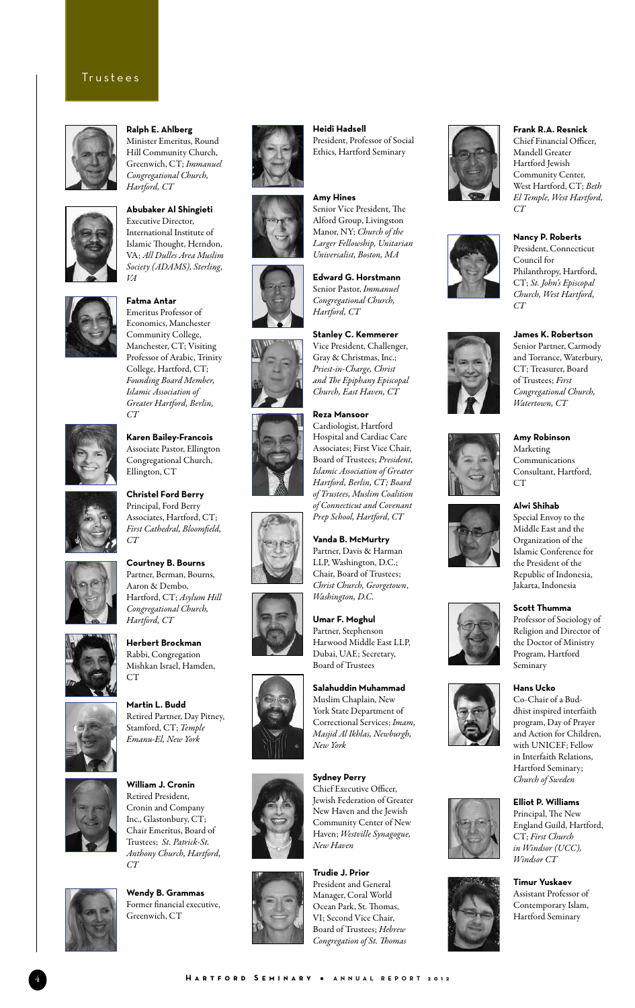

**Ralph E. Ahlberg**  Minister Emeritus, Round Hill Community Church, Greenwich, CT; *Immanuel Congregational Church, Hartford, CT*



**Abubaker Al Shingieti** Executive Director, International Institute of Islamic Thought, Herndon, VA; *All Dulles Area Muslim Society (ADAMS), Sterling, VA*



**Fatma Antar** Emeritus Professor of Economics, Manchester Community College, Manchester, CT; Visiting Professor of Arabic, Trinity College, Hartford, CT; *Founding Board Member, Islamic Association of Greater Hartford, Berlin, CT*



**Karen Bailey-Francois** Associate Pastor, Ellington Congregational Church, Ellington, CT

**Christel Ford Berry** Principal, Ford Berry Associates, Hartford, CT; *First Cathedral, Bloomfield, CT*



**Courtney B. Bourns** Partner, Berman, Bourns, Aaron & Dembo, Hartford, CT; *Asylum Hill Congregational Church, Hartford, CT* 



Rabbi, Congregation Mishkan Israel, Hamden,  $CT$ **Martin L. Budd**

**Herbert Brockman**



Retired Partner, Day Pitney, Stamford, CT; *Temple Emanu-El, New York* 



**William J. Cronin** Retired President, Cronin and Company Inc., Glastonbury, CT; Chair Emeritus, Board of Trustees; *St. Patrick-St. Anthony Church, Hartford, CT*



**Wendy B. Grammas** Former financial executive, Greenwich, CT





















**Heidi Hadsell** President, Professor of Social Ethics, Hartford Seminary

### **Amy Hines**

Senior Vice President, The Alford Group, Livingston Manor, NY; *Church of the Larger Fellowship, Unitarian Universalist, Boston, MA*



#### **Stanley C. Kemmerer** Vice President, Challenger,

Gray & Christmas, Inc.; *Priest-in-Charge, Christ and The Epiphany Episcopal Church, East Haven, CT* 

#### **Reza Mansoor**

Cardiologist, Hartford Hospital and Cardiac Care Associates; First Vice Chair, Board of Trustees; *President, Islamic Association of Greater Hartford, Berlin, CT; Board of Trustees, Muslim Coalition of Connecticut and Covenant Prep School, Hartford, CT*

#### **Vanda B. McMurtry** Partner, Davis & Harman LLP, Washington, D.C.; Chair, Board of Trustees; *Christ Church, Georgetown*, *Washington, D.C.*

**Umar F. Moghul** Partner, Stephenson Harwood Middle East LLP, Dubai, UAE; Secretary, Board of Trustees

## **Salahuddin Muhammad** Muslim Chaplain, New York State Department of

Correctional Services; *Imam, Masjid Al Ikhlas, Newburgh, New York*

#### **Sydney Perry** Chief Executive Officer,

Jewish Federation of Greater New Haven and the Jewish Community Center of New Haven; *Westville Synagogue, New Haven*

# President and General

Manager, Coral World Ocean Park, St. Thomas, VI; Second Vice Chair, Board of Trustees; *Hebrew Congregation of St. Thomas*





Chief Financial Officer, Mandell Greater Hartford Jewish Community Center, West Hartford, CT; *Beth El Temple, West Hartford, CT*

**Nancy P. Roberts** President, Connecticut

Philanthropy, Hartford, CT; *St. John's Episcopal Church, West Hartford,* 

Council for

*CT* 





*Congregational Church, Watertown, CT*

**Amy Robinson**  Marketing Communications Consultant, Hartford, CT<sub>1</sub>

**Alwi Shihab** Special Envoy to the Middle East and the Organization of the Islamic Conference for the President of the











# Republic of Indonesia, Jakarta, Indonesia **Scott Thumma** Professor of Sociology of





Co-Chair of a Buddhist inspired interfaith program, Day of Prayer and Action for Children, with UNICEF; Fellow in Interfaith Relations, Hartford Seminary; *Church of Sweden* 

### **Elliot P. Williams**

Principal, The New England Guild, Hartford, CT; *First Church in Windsor (UCC), Windsor CT* 

**Timur Yuskaev** Assistant Professor of Contemporary Islam, Hartford Seminary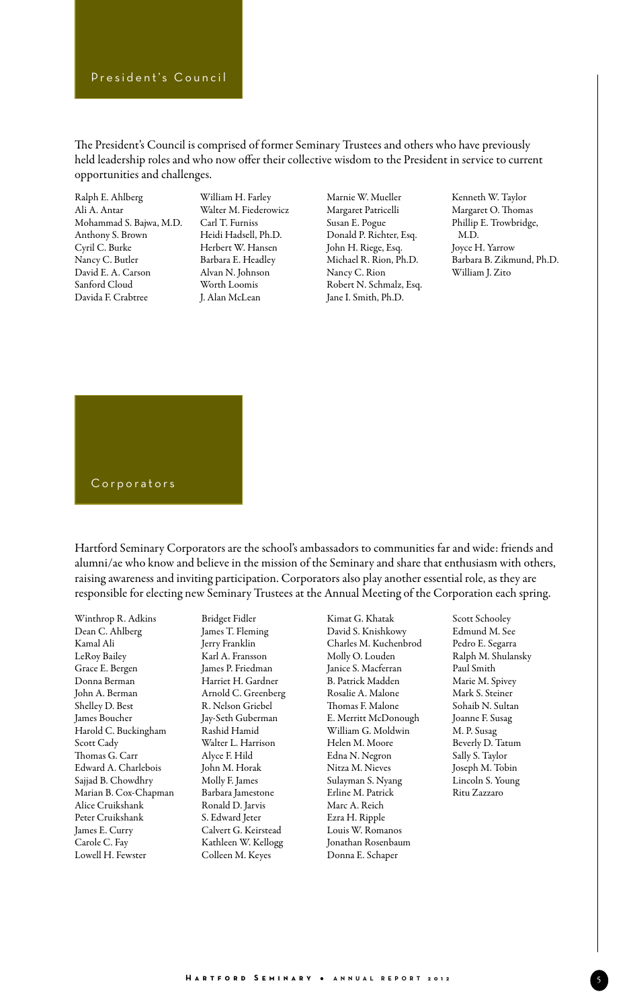The President's Council is comprised of former Seminary Trustees and others who have previously held leadership roles and who now offer their collective wisdom to the President in service to current opportunities and challenges.

Ralph E. Ahlberg Ali A. Antar Mohammad S. Bajwa, M.D. Anthony S. Brown Cyril C. Burke Nancy C. Butler David E. A. Carson Sanford Cloud Davida F. Crabtree

William H. Farley Walter M. Fiederowicz Carl T. Furniss Heidi Hadsell, Ph.D. Herbert W. Hansen Barbara E. Headley Alvan N. Johnson Worth Loomis J. Alan McLean

Marnie W. Mueller Margaret Patricelli Susan E. Pogue Donald P. Richter, Esq. John H. Riege, Esq. Michael R. Rion, Ph.D. Nancy C. Rion Robert N. Schmalz, Esq. Jane I. Smith, Ph.D.

Kenneth W. Taylor Margaret O. Thomas Phillip E. Trowbridge, M.D. Joyce H. Yarrow Barbara B. Zikmund, Ph.D. William J. Zito



Hartford Seminary Corporators are the school's ambassadors to communities far and wide: friends and alumni/ae who know and believe in the mission of the Seminary and share that enthusiasm with others, raising awareness and inviting participation. Corporators also play another essential role, as they are responsible for electing new Seminary Trustees at the Annual Meeting of the Corporation each spring.

Winthrop R. Adkins Dean C. Ahlberg Kamal Ali LeRoy Bailey Grace E. Bergen Donna Berman John A. Berman Shelley D. Best James Boucher Harold C. Buckingham Scott Cady Thomas G. Carr Edward A. Charlebois Sajjad B. Chowdhry Marian B. Cox-Chapman Alice Cruikshank Peter Cruikshank James E. Curry Carole C. Fay Lowell H. Fewster

Bridget Fidler James T. Fleming Jerry Franklin Karl A. Fransson James P. Friedman Harriet H. Gardner Arnold C. Greenberg R. Nelson Griebel Jay-Seth Guberman Rashid Hamid Walter L. Harrison Alyce F. Hild John M. Horak Molly F. James Barbara Jamestone Ronald D. Jarvis S. Edward Jeter Calvert G. Keirstead Kathleen W. Kellogg Colleen M. Keyes

Kimat G. Khatak David S. Knishkowy Charles M. Kuchenbrod Molly O. Louden Janice S. Macferran B. Patrick Madden Rosalie A. Malone Thomas F. Malone E. Merritt McDonough William G. Moldwin Helen M. Moore Edna N. Negron Nitza M. Nieves Sulayman S. Nyang Erline M. Patrick Marc A. Reich Ezra H. Ripple Louis W. Romanos Jonathan Rosenbaum Donna E. Schaper

Scott Schooley Edmund M. See Pedro E. Segarra Ralph M. Shulansky Paul Smith Marie M. Spivey Mark S. Steiner Sohaib N. Sultan Joanne F. Susag M. P. Susag Beverly D. Tatum Sally S. Taylor Joseph M. Tobin Lincoln S. Young Ritu Zazzaro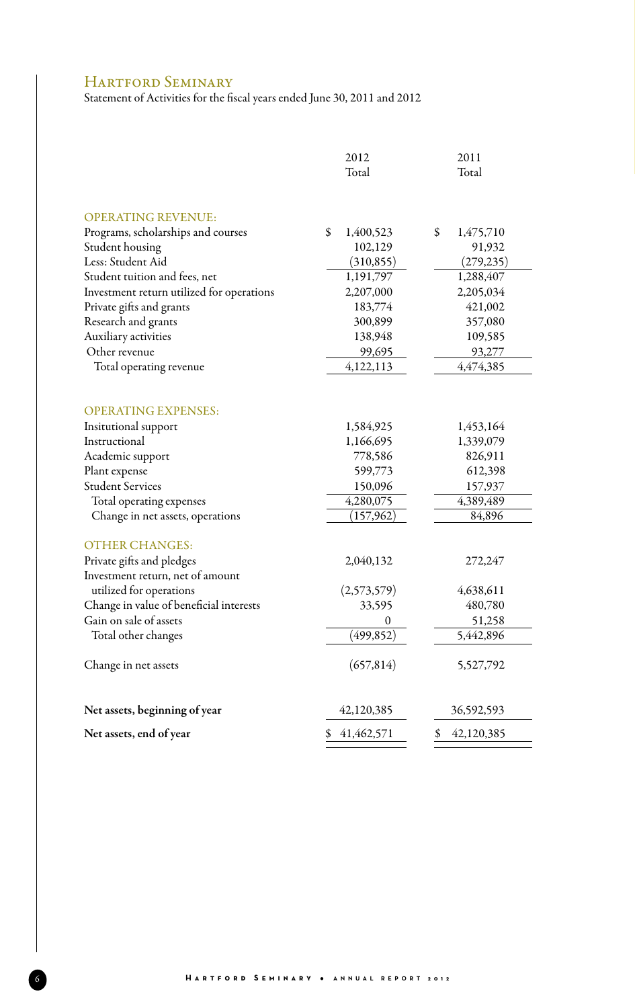# HARTFORD SEMINARY

Statement of Activities for the fiscal years ended June 30, 2011 and 2012

|                                           | 2012                   | 2011            |
|-------------------------------------------|------------------------|-----------------|
|                                           | Total                  | Total           |
|                                           |                        |                 |
| <b>OPERATING REVENUE:</b>                 |                        |                 |
| Programs, scholarships and courses        | \$<br>1,400,523        | 1,475,710<br>\$ |
| Student housing                           | 102,129                | 91,932          |
| Less: Student Aid                         | (310, 855)             | (279, 235)      |
| Student tuition and fees, net             | 1,191,797              | 1,288,407       |
| Investment return utilized for operations | 2,207,000              | 2,205,034       |
| Private gifts and grants                  | 183,774                | 421,002         |
| Research and grants                       | 300,899                | 357,080         |
| Auxiliary activities                      | 138,948                | 109,585         |
| Other revenue                             | 99,695                 | 93,277          |
| Total operating revenue                   | 4,122,113              | 4,474,385       |
|                                           |                        |                 |
|                                           |                        |                 |
| <b>OPERATING EXPENSES:</b>                |                        |                 |
| Insitutional support                      | 1,584,925              | 1,453,164       |
| Instructional                             | 1,166,695              | 1,339,079       |
| Academic support                          | 778,586                | 826,911         |
| Plant expense                             | 599,773                | 612,398         |
| <b>Student Services</b>                   | 150,096                | 157,937         |
| Total operating expenses                  | $\overline{4,}280,075$ | 4,389,489       |
| Change in net assets, operations          | (157, 962)             | 84,896          |
| <b>OTHER CHANGES:</b>                     |                        |                 |
| Private gifts and pledges                 | 2,040,132              | 272,247         |
| Investment return, net of amount          |                        |                 |
| utilized for operations                   | (2,573,579)            | 4,638,611       |
| Change in value of beneficial interests   | 33,595                 | 480,780         |
| Gain on sale of assets                    | $\boldsymbol{0}$       | 51,258          |
| Total other changes                       | (499, 852)             | 5,442,896       |
|                                           |                        |                 |
| Change in net assets                      | (657, 814)             | 5,527,792       |
|                                           |                        |                 |
| Net assets, beginning of year             | 42,120,385             | 36,592,593      |
| Net assets, end of year                   | 41,462,571             | 42,120,385      |
|                                           |                        |                 |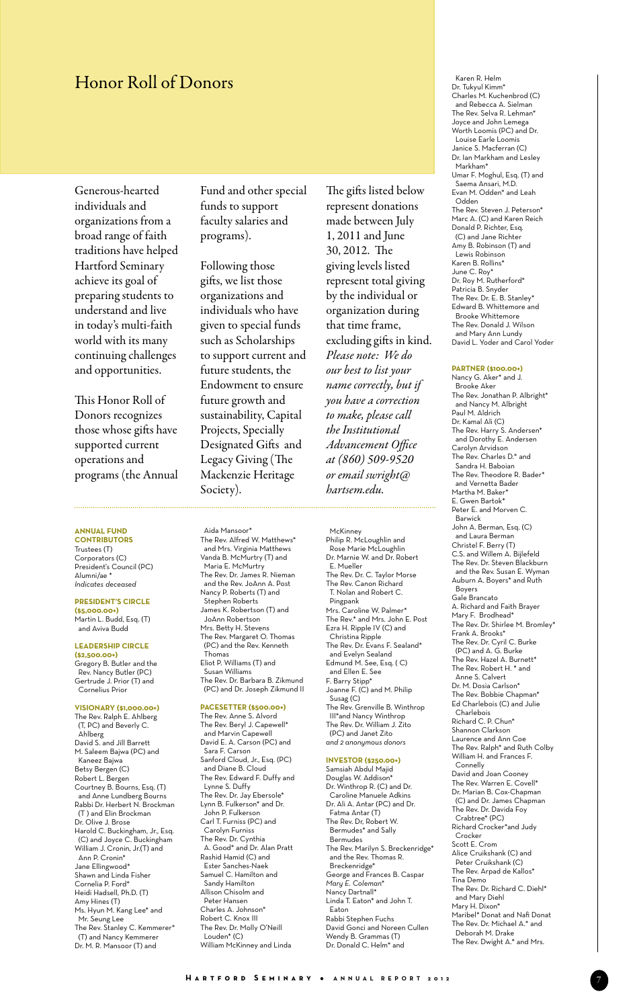# Honor Roll of Donors

Generous-hearted individuals and organizations from a broad range of faith traditions have helped Hartford Seminary achieve its goal of preparing students to understand and live in today's multi-faith world with its many continuing challenges and opportunities.

This Honor Roll of Donors recognizes those whose gifts have supported current operations and programs (the Annual

### **ANNUAL FUND**

**CONTRIBUTORS** Trustees (T) Corporators (C) President's Council (PC) . .<br>Alumni/ae <sup>\*</sup> *Indicates deceased*

#### **President's Circle**

**(\$5,000.00+)** Martin L. Budd, Esq. (T) and Aviva Budd

#### **Leadership Circle**

**(\$2,500.00+)** Gregory B. Butler and the Rev. Nancy Butler (PC) Gertrude J. Prior (T) and Cornelius Prior

#### **Visionary (\$1,000.00+)**

The Rev. Ralph E. Ahlberg (T, PC) and Beverly C. Ahlberg David S. and Jill Barrett M. Saleem Bajwa (PC) and Kaneez Bajwa Betsy Bergen (C) Robert L. Bergen Courtney B. Bourns, Esq. (T) and Anne Lundberg Bourns Rabbi Dr. Herbert N. Brockman (T ) and Elin Brockman Dr. Olive J. Brose Harold C. Buckingham, Jr., Esq. (C) and Joyce C. Buckingham William J. Cronin, Jr.(T) and Ann P. Cronin\* Jane Ellingwood\* Shawn and Linda Fisher Cornelia P. Ford<sup>\*</sup> Heidi Hadsell, Ph.D. (T) Amy Hines (T) Ms. Hyun M. Kang Lee\* and Mr. Seung Lee The Rev. Stanley C. Kemmerer\* (T) and Nancy Kemmerer Dr. M. R. Mansoor (T) and

Fund and other special funds to support faculty salaries and programs).

Following those gifts, we list those organizations and individuals who have given to special funds such as Scholarships to support current and future students, the Endowment to ensure future growth and sustainability, Capital Projects, Specially Designated Gifts and Legacy Giving (The Mackenzie Heritage Society).

Aida Mansoor\*

Thomas

Eliot P. Williams (T) and Susan Williams

**Pacesetter (\$500.00+)** The Rev. Anne S. Alvord The Rev. Beryl J. Capewell\* and Marvin Capewell David E. A. Carson (PC) and Sara F. Carson

Sanford Cloud, Jr., Esq. (PC) and Diane B. Cloud The Rev. Edward F. Duffy and

 Lynne S. Duffy The Rev. Dr. Jay Ebersole\* Lynn B. Fulkerson\* and Dr. ,<br>John P. Fulkerson Carl T. Furniss (PC) and Carolyn Furniss The Rev. Dr. Cynthia A. Good\* and Dr. Alan Pratt Rashid Hamid (C) and Ester Sanches-Naek Samuel C. Hamilton and Sandy Hamilton Allison Chisolm and Peter Hansen Charles A. Johnson\* Robert C. Knox III The Rev. Dr. Molly O'Neill

Louden\* (C)

William McKinney and Linda

The Rev. Dr. Barbara B. Zikmund (PC) and Dr. Joseph Zikmund II

The Rev. Alfred W. Matthews\* and Mrs. Virginia Matthews Vanda B. McMurtry (T) and Maria E. McMurtry The Rev. Dr. James R. Nieman and the Rev. JoAnn A. Post Nancy P. Roberts (T) and Stephen Roberts James K. Robertson (T) and JoAnn Robertson Mrs. Betty H. Stevens The Rev. Margaret O. Thomas (PC) and the Rev. Kenneth

The gifts listed below represent donations made between July 1, 2011 and June 30, 2012. The giving levels listed represent total giving by the individual or organization during that time frame, excluding gifts in kind. *Please note: We do our best to list your name correctly, but if you have a correction to make, please call the Institutional Advancement Office at (860) 509-9520 or email swright@ hartsem.edu.*

McKinney

Philip R. McLoughlin and Rose Marie McLoughlin Dr. Marnie W. and Dr. Robert E. Mueller The Rev. Dr. C. Taylor Morse The Rev. Canon Richard T. Nolan and Robert C. Pingpank Mrs. Caroline W. Palmer\* The Rev.\* and Mrs. John E. Post Ezra H. Ripple IV (C) and Christina Ripple The Rev. Dr. Evans F. Sealand\* and Evelyn Sealand Edmund M. See, Esq. ( C) and Ellen E. See F. Barry Stipp\* Joanne F. (C) and M. Philip Susag (C) The Rev. Grenville B. Winthrop III\*and Nancy Winthrop The Rev. Dr. William J. Zito (PC) and Janet Zito *and 2 anonymous donors*

### **Investor (\$250.00+)**

Samsiah Abdul Majid Douglas W. Addison\* Dr. Winthrop R. (C) and Dr. Caroline Manuele Adkins Dr. Ali A. Antar (PC) and Dr. Fatma Antar (T) The Rev. Dr, Robert W. Bermudes\* and Sally Bermudes The Rev. Marilyn S. Breckenridge\* and the Rev. Thomas R. Breckenridge\* George and Frances B. Caspar *Mary E. Coleman\** Nancy Dartnall\* Linda T. Eaton\* and John T. Eaton Rabbi Stephen Fuchs David Gonci and Noreen Cullen Wendy B. Grammas (T) Dr. Donald C. Helm<sup>\*</sup> and

 Karen R. Helm Dr. Tukyul Kimm\* Charles M. Kuchenbrod (C) and Rebecca A. Sielman The Rev. Selva R. Lehman\* Joyce and John Lemega Worth Loomis (PC) and Dr. Louise Earle Loomis Janice S. Macferran (C) Dr. Ian Markham and Lesley Markham\* Umar F. Moghul, Esq. (T) and Saema Ansari, M.D. Evan M. Odden\* and Leah Odden The Rev. Steven J. Peterson\* Marc A. (C) and Karen Reich Donald P. Richter, Esq. (C) and Jane Richter Amy B. Robinson (T) and Lewis Robinson Karen B. Rollins\* June C. Roy\* Dr. Roy M. Rutherford\* Patricia B. Snyder The Rev. Dr. E. B. Stanley\* Edward B. Whittemore and Brooke Whittemore The Rev. Donald J. Wilson and Mary Ann Lundy David L. Yoder and Carol Yoder

#### **Partner (\$100.00+)**

Nancy G. Aker\* and J. Brooke Aker The Rev. Jonathan P. Albright\* and Nancy M. Albright Paul M. Aldrich Dr. Kamal Ali (C) The Rev. Harry S. Andersen\* and Dorothy E. Andersen Carolyn Arvidson The Rev. Charles D.\* and Sandra H. Baboian The Rev. Theodore R. Bader\* and Vernetta Bade Martha M. Baker<sup>\*</sup> E. Gwen Bartok\* Peter E. and Morven C. Barwick John A. Berman, Esq. (C) and Laura Berman Christel F. Berry (T) C.S. and Willem A. Bijlefeld The Rev. Dr. Steven Blackburn and the Rev. Susan E. Wyman Auburn A. Boyers\* and Ruth Boyers Gale Brancato A. Richard and Faith Brayer Mary F. Brodhead\* The Rev. Dr. Shirlee M. Bromley\* Frank A. Brooks\* The Rev. Dr. Cyril C. Burke (PC) and A. G. Burke The Rev. Hazel A. Burnett\* The Rev. Robert H. \* and Anne S. Calvert Dr. M. Dosia Carlson\* The Rev. Bobbie Chapman\* Ed Charlebois (C) and Julie Charlebois Richard C. P. Chun\* Shannon Clarkson Laurence and Ann Coe The Rev. Ralph\* and Ruth Colby William H. and Frances F. Connelly David and Joan Cooney The Rev. Warren E. Covell\* Dr. Marian B. Cox-Chapman (C) and Dr. James Chapman The Rev. Dr. Davida Foy Crabtree\* (PC) Richard Crocker\*and Judy Crocker Scott E. Crom Alice Cruikshank (C) and Peter Cruikshank (C) The Rev. Arpad de Kallos\* Tina Demo The Rev. Dr. Richard C. Diehl\* and Mary Diehl Mary H. Dixon\* Maribel\* Donat and Nafi Donat The Rev. Dr. Michael A.\* and Deborah M. Drake The Rev. Dwight A.\* and Mrs.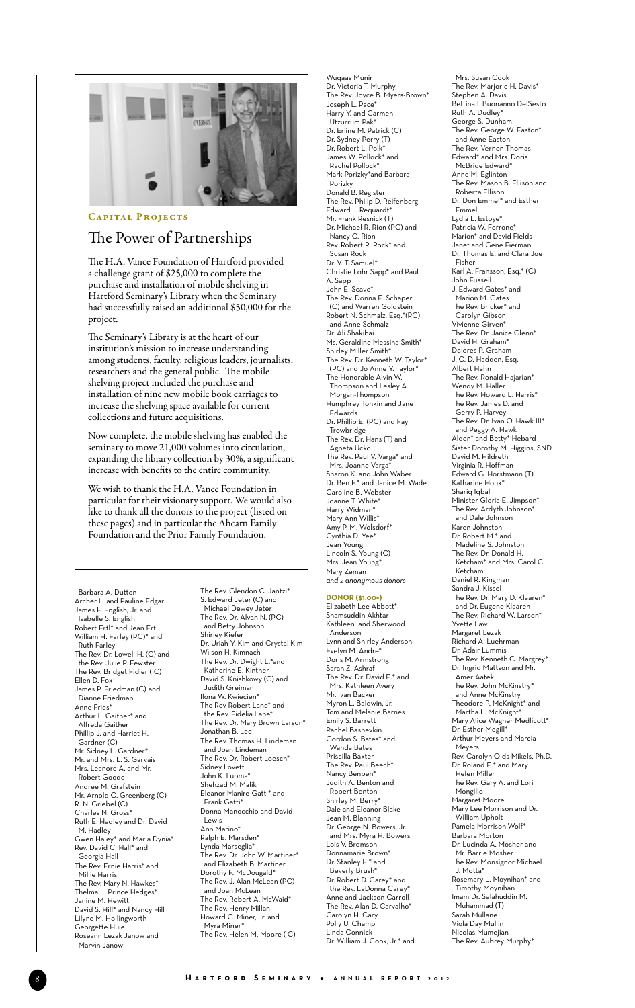

### CAPITAL PROJECTS

## The Power of Partnerships

The H.A. Vance Foundation of Hartford provided a challenge grant of \$25,000 to complete the purchase and installation of mobile shelving in Hartford Seminary's Library when the Seminary had successfully raised an additional \$50,000 for the project.

The Seminary's Library is at the heart of our institution's mission to increase understanding among students, faculty, religious leaders, journalists, researchers and the general public. The mobile shelving project included the purchase and installation of nine new mobile book carriages to increase the shelving space available for current collections and future acquisitions.

Now complete, the mobile shelving has enabled the seminary to move 21,000 volumes into circulation, expanding the library collection by 30%, a significant increase with benefits to the entire community.

We wish to thank the H.A. Vance Foundation in particular for their visionary support. We would also like to thank all the donors to the project (listed on these pages) and in particular the Ahearn Family Foundation and the Prior Family Foundation.

 Barbara A. Dutton Archer L. and Pauline Edgar James F. English, Jr. and Isabelle S. English Robert Ertl\* and Jean Ertl William H. Farley (PC)\* and Ruth Farley The Rev. Dr. Lowell H. (C) and the Rev. Julie P. Fewster The Rev. Bridget Fidler ( C) Ellen D. Fox James P. Friedman (C) and Dianne Friedman Anne Fries\* Arthur L. Gaither\* and Alfreda Gaither Phillip J. and Harriet H. Gardner (C) Mr. Sidney L. Gardner\* Mr. and Mrs. L. S. Garvais Mrs. Leanore A. and Mr. Robert Goode Andree M. Grafstein Mr. Arnold C. Greenberg (C) R. N. Griebel (C) Charles N. Gross\* Ruth E. Hadley and Dr. David M. Hadley Gwen Haley\* and Maria Dynia\* Rev. David C. Hall\* and Georgia Hall The Rev. Ernie Harris\* and Millie Harris The Rev. Mary N. Hawkes\* Thelma L. Prince Hedges\* Janine M. Hewitt David S. Hill\* and Nancy Hill Lilyne M. Hollingworth Georgette Huie Roseann Lezak Janow and Marvin Janow

The Rev. Glendon C. Jantzi\* S. Edward Jeter (C) and Michael Dewey Jeter The Rev. Dr. Alvan N. (PC) and Betty Johnson Shirley Kiefer Dr. Uriah Y. Kim and Crystal Kim Wilson H. Kimnach The Rev. Dr. Dwight L.\*and Katherine E. Kintner David S. Knishkowy (C) and Judith Greiman Ilona W. Kwiecien<sup>\*</sup> The Rev Robert Lane\* and the Rev. Fidelia Lane\* The Rev. Dr. Mary Brown Larson<sup>\*</sup> Jonathan B. Lee The Rev. Thomas H. Lindeman and Joan Lindeman The Rev. Dr. Robert Loesch\* Sidney Lovett John K. Luoma\* Shehzad M. Malik Eleanor Manire-Gatti\* and Frank Gatti\* Donna Manocchio and David Lewis Ann Marino\* Ralph E. Marsden\* Lynda Marseglia\* The Rev. Dr. John W. Martiner\* and Elizabeth B. Martiner Dorothy F. McDougald\* The Rev. J. Alan McLean (PC) and Joan McLean The Rev. Robert A. McWaid\* The Rev. Henry Millan Howard C. Miner, Jr. and Myra Miner\* The Rev. Helen M. Moore ( C)

Wuqaas Munir Dr. Victoria T. Murphy The Rev. Joyce B. Myers-Brown\* Joseph L. Pace\* Harry Y. and Carmen Utzurrum Pak\* Dr. Erline M. Patrick (C) Dr. Sydney Perry (T) Dr. Robert L. Polk\* James W. Pollock\* and Rachel Pollock\* Mark Porizky\*and Barbara Porizky Donald B. Register The Rev. Philip D. Reifenberg Edward J. Requardt\* Mr. Frank Resnick (T) Dr. Michael R. Rion (PC) and Nancy C. Rion Rev. Robert R. Rock\* and Susan Rock Dr. V. T. Samuel\* Christie Lohr Sapp\* and Paul A. Sapp John E. Scavo\* The Rev. Donna E. Schaper (C) and Warren Goldstein Robert N. Schmalz, Esq.\*(PC) and Anne Schmalz Dr. Ali Shakibai Ms. Geraldine Messina Smith\* Shirley Miller Smith\* The Rev. Dr. Kenneth W. Taylor\* (PC) and Jo Anne Y. Taylor\* The Honorable Alvin W. Thompson and Lesley A. Morgan-Thompson Humphrey Tonkin and Jane Edwards Dr. Phillip E. (PC) and Fay Trowbridge The Rev. Dr. Hans (T) and Agneta Ucko The Rev. Paul V. Varga\* and Mrs. Joanne Varga\* Sharon K. and John Waber Dr. Ben F.\* and Janice M. Wade Caroline B. Webster Joanne T. White\* Harry Widman\* Mary Ann Willis\* Amy P. M. Wolsdorf\* Cynthia D. Yee\* Jean Young Lincoln S. Young (C) Mrs. Jean Young\* Mary Zeman *and 2 anonymous donors*

#### **Donor (\$1.00+)**

Elizabeth Lee Abbott\* Shamsuddin Akhtar Kathleen and Sherwood Anderson Lynn and Shirley Anderson Evelyn M. Andre\* Doris M. Armstrong Sarah Z. Ashraf The Rev. Dr. David E.\* and Mrs. Kathleen Avery Mr. Ivan Backer Myron L. Baldwin, Jr. Tom and Melanie Barnes Emily S. Barrett Rachel Bashevkin Gordon S. Bates\* and Wanda Bates Priscilla Baxter The Rev. Paul Beech\* Nancy Benben\* Judith A. Benton and Robert Benton Shirley M. Berry\* Dale and Eleanor Blake Jean M. Blanning Dr. George N. Bowers, Jr. and Mrs. Myra H. Bowers Lois V. Bromson Donnamarie Brown\* Dr. Stanley E.\* and Beverly Brush\* Dr. Robert D. Carey\* and the Rev. LaDonna Carey\* Anne and Jackson Carroll The Rev. Alan D. Carvalho\* Carolyn H. Cary Polly U. Champ Linda Connick Dr. William J. Cook, Jr.\* and

 Mrs. Susan Cook The Rev. Marjorie H. Davis\* Stephen A. Davis Bettina I. Buonanno DelSesto Ruth A. Dudley\* George S. Dunham The Rev. George W. Easton\* and Anne Easton The Rev. Vernon Thomas Edward\* and Mrs. Doris McBride Edward\* Anne M. Eglinton The Rev. Mason B. Ellison and Roberta Ellison Dr. Don Emmel\* and Esther Emmel Lydia L. Estoye\* Patricia W. Ferrone\* Marion\* and David Fields Janet and Gene Fierman Dr. Thomas E. and Clara Joe Fisher Karl A. Fransson, Esq.\* (C) John Fussell J. Edward Gates\* and Marion M. Gates The Rev. Bricker\* and Carolyn Gibson Vivienne Girven\* The Rev. Dr. Janice Glenn\* David H. Graham\* Delores P. Graham J. C. D. Hadden, Esq. Albert Hahn The Rev. Ronald Hajarian\* Wendy M. Haller The Rev. Howard L. Harris\* The Rev. James D. and Gerry P. Harvey The Rev. Dr. Ivan O. Hawk III\* and Peggy A. Hawk Alden\* and Betty\* Hebard Sister Dorothy M. Higgins, SND David M. Hildreth Virginia R. Hoffman Edward G. Horstmann (T) Katharine Houk\* Shariq Iqbal Minister Gloria E. Jimpson\* The Rev. Ardyth Johnson\* and Dale Johnson Karen Johnston Dr. Robert M.\* and Madeline S. Johnston The Rev. Dr. Donald H. Ketcham\* and Mrs. Carol C. Ketcham Daniel R. Kingman Sandra J. Kissel The Rev. Dr. Mary D. Klaaren\* and Dr. Eugene Klaaren The Rev. Richard W. Larson\* Yvette Law Margaret Lezak Richard A. Luehrman Dr. Adair Lummis The Rev. Kenneth C. Margrey\* Dr. Ingrid Mattson and Mr. Amer Aatek The Rev. John McKinstry\* and Anne McKinstry Theodore P. McKnight\* and Martha L. McKnight<sup>\*</sup> Mary Alice Wagner Medlicott\* Dr. Esther Megill\* Arthur Meyers and Marcia Meyers Rev. Carolyn Olds Mikels, Ph.D. Dr. Roland E.\* and Mary Helen Miller The Rev. Gary A. and Lori Mongillo Margaret Moore Mary Lee Morrison and Dr. William Upholt Pamela Morrison-Wolf<sup>\*</sup> Barbara Morton Dr. Lucinda A. Mosher and Mr. Barrie Mosher The Rev. Monsignor Michael J. Motta\* Rosemary L. Moynihan\* and Timothy Moynihan Imam Dr. Salahuddin M. Muhammad (T) Sarah Mullane Viola Day Mullin Nicolas Mumejian The Rev. Aubrey Murphy\*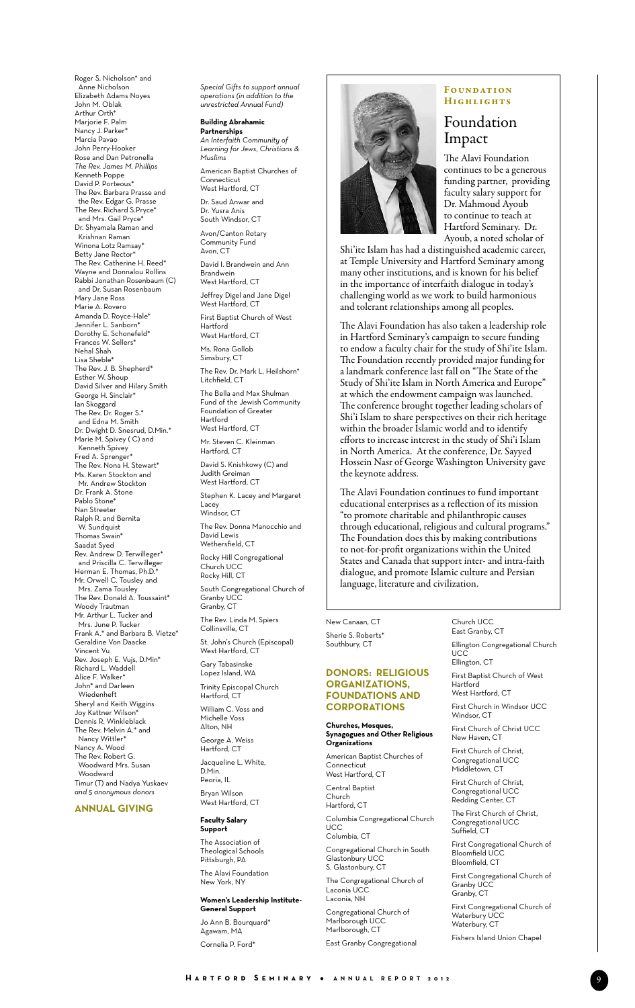Roger S. Nicholson\* and Anne Nicholson Elizabeth Adams Noyes John M. Oblak Arthur Orth\* Marjorie F. Palm Nancy J. Parker\* Marcia Pavao John Perry-Hooker Rose and Dan Petronella *The Rev. James M. Phillips* Kenneth Poppe David P. Porteous\* The Rev. Barbara Prasse and the Rev. Edgar G. Prasse The Rev. Richard S.Pryce\* and Mrs. Gail Pryce<sup>\*</sup> Dr. Shyamala Raman and Krishnan Raman Winona Lotz Ramsay\* Betty Jane Rector\* The Rev. Catherine H. Reed\* Wayne and Donnalou Rollins Rabbi Jonathan Rosenbaum (C) and Dr. Susan Rosenbaum Mary Jane Ross Marie A. Rovero Amanda D. Royce-Hale\* Jennifer L. Sanborn\* Dorothy E. Schonefeld\* Frances W. Sellers\* Nehal Shah Lisa Sheble\* The Rev. J. B. Shepherd\* Esther W. Shoup David Silver and Hilary Smith George H. Sinclair\* Ian Skoggard The Rev. Dr. Roger S.\* and Edna M. Smith Dr. Dwight D. Snesrud, D.Min.\* Marie M. Spivey ( C) and Kenneth Spivey Fred A. Sprenger The Rev. Nona H. Stewart\* Ms. Karen Stockton and Mr. Andrew Stockton Dr. Frank A. Stone Pablo Stone\* Nan Streeter Ralph R. and Bernita W. Sundquist Thomas Swain\* Saadat Syed Rev. Andrew D. Terwilleger\* and Priscilla C. Terwilleger Herman E. Thomas, Ph.D.\* Mr. Orwell C. Tousley and Mrs. Zama Tousley The Rev. Donald A. Toussaint\* Woody Trautman Mr. Arthur L. Tucker and Mrs. June P. Tucker Frank A.\* and Barbara B. Vietze\* Geraldine Von Daacke Vincent Vu Rev. Joseph E. Vujs, D.Min\* Richard L. Waddell Alice F. Walker\* John\* and Darleen Wiedenheft Sheryl and Keith Wiggins Joy Kattner Wilson\* Dennis R. Winkleblack The Rev. Melvin A.\* and Nancy Wittler\* Nancy A. Wood The Rev. Robert G. Woodward Mrs. Susan Woodward Timur (T) and Nadya Yuskaev *and 5 anonymous donors*

#### **ANNUAL GIVING**

*Special Gifts to support annual operations (in addition to the unrestricted Annual Fund)*

### **Building Abrahamic**

**Partnerships** *An Interfaith Community of Learning for Jews, Christians & Muslims* American Baptist Churches of **Connecticut** West Hartford, CT Dr. Saud Anwar and

Dr. Yusra Anis South Windsor, CT Avon/Canton Rotary Community Fund Avon, CT David I. Brandwein and Ann Brandwein West Hartford, CT Jeffrey Digel and Jane Digel West Hartford, CT First Baptist Church of West Hartford West Hartford, CT Ms. Rona Gollob Simsbury, CT The Rev. Dr. Mark L. Heilshorn\* Litchfield, CT

The Bella and Max Shulman Fund of the Jewish Community Foundation of Greater Hartford West Hartford, CT

Mr. Steven C. Kleinman Hartford, CT

David S. Knishkowy (C) and Judith Greiman West Hartford, CT

Stephen K. Lacey and Margaret Lacey

Windsor, CT The Rev. Donna Manocchio and David Lewis

Wethersfield, CT Rocky Hill Congregational Church UCC Rocky Hill, CT

South Congregational Church of Granby UCC Granby, CT

The Rev. Linda M. Spiers Collinsville, CT

St. John's Church (Episcopal) West Hartford, CT

Gary Tabasinske Lopez Island, WA Trinity Episcopal Church

Hartford, CT William C. Voss and

Michelle Voss Alton, NH George A. Weiss

Hartford, CT Jacqueline L. White,

D.Min. Peoria, IL Bryan Wilson

West Hartford, CT

#### **Faculty Salary Support**

The Association of Theological Schools Pittsburgh, PA The Alavi Foundation

### New York, NY **Women's Leadership Institute-**

**General Support** Jo Ann B. Bourquard<sup>\*</sup> Agawam, MA Cornelia P. Ford\*



#### **FOUNDATION HIGHLIGHTS**

### Foundation Impact

The Alavi Foundation continues to be a generous funding partner, providing faculty salary support for Dr. Mahmoud Ayoub to continue to teach at Hartford Seminary. Dr. Ayoub, a noted scholar of

Shi'ite Islam has had a distinguished academic career, at Temple University and Hartford Seminary among many other institutions, and is known for his belief in the importance of interfaith dialogue in today's challenging world as we work to build harmonious and tolerant relationships among all peoples.

The Alavi Foundation has also taken a leadership role in Hartford Seminary's campaign to secure funding to endow a faculty chair for the study of Shi'ite Islam. The Foundation recently provided major funding for a landmark conference last fall on "The State of the Study of Shi'ite Islam in North America and Europe" at which the endowment campaign was launched. The conference brought together leading scholars of Shi'i Islam to share perspectives on their rich heritage within the broader Islamic world and to identify efforts to increase interest in the study of Shi'i Islam in North America. At the conference, Dr. Sayyed Hossein Nasr of George Washington University gave the keynote address.

The Alavi Foundation continues to fund important educational enterprises as a reflection of its mission "to promote charitable and philanthropic causes through educational, religious and cultural programs." The Foundation does this by making contributions to not-for-profit organizations within the United States and Canada that support inter- and intra-faith dialogue, and promote Islamic culture and Persian language, literature and civilization.

#### New Canaan, CT Sherie S. Roberts\*

Southbury, CT

### **Donors: Religious Organizations, Foundations and Corporations**

#### **Churches, Mosques, Synagogues and Other Religious Organizations**

American Baptist Churches of Connecticut West Hartford, CT

Central Baptist Church

Hartford, CT Columbia Congregational Church **UCC** 

Columbia, CT Congregational Church in South

Glastonbury UCC S. Glastonbury, CT

The Congregational Church of Laconia UCC Laconia, NH Congregational Church of Marlborough UCC Marlborough, CT East Granby Congregational

**UCC** Ellington, CT First Baptist Church of West Hartford West Hartford, CT First Church in Windsor UCC Windsor, CT First Church of Christ UCC New Haven, CT First Church of Christ, Congregational UCC

Ellington Congregational Church

Church UCC East Granby, CT

First Church of Christ, Congregational UCC Redding Center, CT

Middletown, CT

The First Church of Christ, Congregational UCC Suffield, CT

First Congregational Church of Bloomfield UCC Bloomfield, CT

First Congregational Church of Granby UCC Granby, CT

First Congregational Church of Waterbury UCC Waterbury, CT

Fishers Island Union Chapel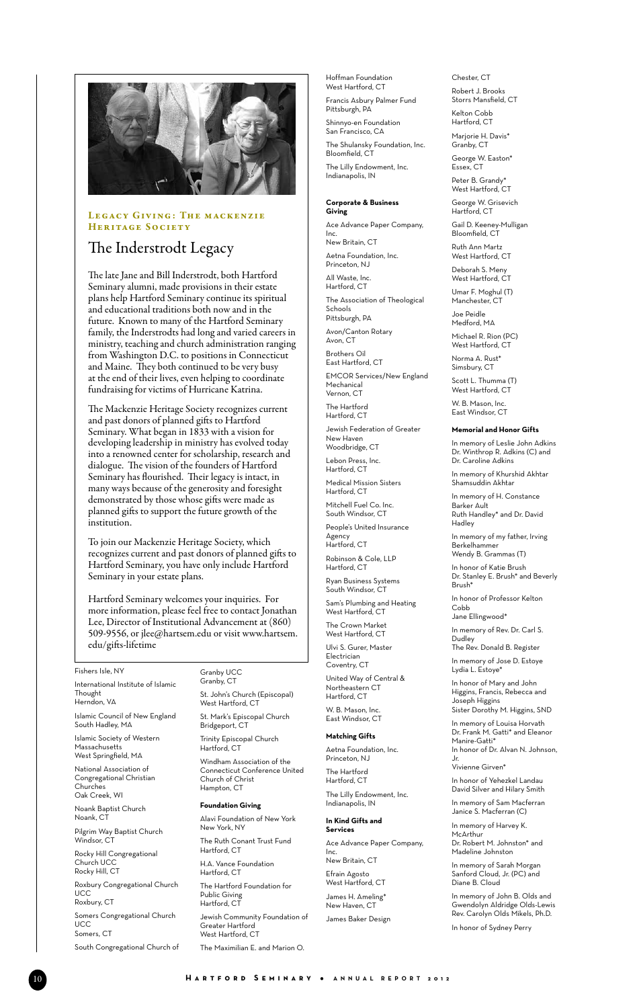

### LEGACY GIVING: THE MACKENZIE HERITAGE SOCIETY

# The Inderstrodt Legacy

The late Jane and Bill Inderstrodt, both Hartford Seminary alumni, made provisions in their estate plans help Hartford Seminary continue its spiritual and educational traditions both now and in the future. Known to many of the Hartford Seminary family, the Inderstrodts had long and varied careers in ministry, teaching and church administration ranging from Washington D.C. to positions in Connecticut and Maine. They both continued to be very busy at the end of their lives, even helping to coordinate fundraising for victims of Hurricane Katrina.

The Mackenzie Heritage Society recognizes current and past donors of planned gifts to Hartford Seminary. What began in 1833 with a vision for developing leadership in ministry has evolved today into a renowned center for scholarship, research and dialogue. The vision of the founders of Hartford Seminary has flourished. Their legacy is intact, in many ways because of the generosity and foresight demonstrated by those whose gifts were made as planned gifts to support the future growth of the institution.

To join our Mackenzie Heritage Society, which recognizes current and past donors of planned gifts to Hartford Seminary, you have only include Hartford Seminary in your estate plans.

Hartford Seminary welcomes your inquiries. For more information, please feel free to contact Jonathan Lee, Director of Institutional Advancement at (860) 509-9556, or jlee@hartsem.edu or visit www.hartsem. edu/gifts-lifetime

#### Fishers Isle, NY

International Institute of Islamic **Thought** 

Herndon, VA Islamic Council of New England South Hadley, MA

Islamic Society of Western Massachusetts West Springfield, MA

National Association of Congregational Christian Churches Oak Creek, WI

Noank Baptist Church Noank, CT

Pilgrim Way Baptist Church Windsor, CT

Rocky Hill Congregational Church UCC Rocky Hill, CT

Roxbury Congregational Church **UCC** Roxbury, CT

Somers Congregational Church UCC Somers, CT

South Congregational Church of

#### Granby UCC Granby, CT

St. John's Church (Episcopal) West Hartford, CT St. Mark's Episcopal Church Bridgeport, CT

Trinity Episcopal Church Hartford, CT

Windham Association of the Connecticut Conference United Church of Christ Hampton, CT

#### **Foundation Giving**

Alavi Foundation of New York New York, NY The Ruth Conant Trust Fund Hartford, CT H.A. Vance Foundation Hartford, CT The Hartford Foundation for Public Giving Hartford, CT

Jewish Community Foundation of Greater Hartford West Hartford, CT

The Maximilian E. and Marion O.

Hoffman Foundation West Hartford, CT

Francis Asbury Palmer Fund Pittsburgh, PA Shinnyo-en Foundation San Francisco, CA The Shulansky Foundation, Inc. Bloomfield, CT The Lilly Endowment, Inc. Indianapolis, IN

#### **Corporate & Business Giving**

Ace Advance Paper Company, Inc. New Britain, CT Aetna Foundation, Inc. Princeton, NJ All Waste, Inc. Hartford, CT The Association of Theological Schools Pittsburgh, PA Avon/Canton Rotary Avon, CT Brothers Oil East Hartford, CT EMCOR Services/New England Mechanical Vernon, CT The Hartford Hartford, CT Jewish Federation of Greater New Haven Woodbridge, CT Lebon Press, Inc. Hartford, CT Medical Mission Sisters

Hartford, CT Mitchell Fuel Co. Inc. South Windsor, CT People's United Insurance Agency Hartford, CT

Robinson & Cole, LLP Hartford, CT Ryan Business Systems

South Windsor, CT Sam's Plumbing and Heating

West Hartford, CT The Crown Market West Hartford, CT Ulvi S. Gurer, Master Electrician Coventry, CT United Way of Central & Northeastern CT

Hartford, CT W. B. Mason, Inc. East Windsor, CT

### **Matching Gifts**

Aetna Foundation, Inc. Princeton, NJ The Hartford Hartford, CT The Lilly Endowment, Inc. Indianapolis, IN

#### **In Kind Gifts and Services** Ace Advance Paper Company, Inc.

New Britain, CT Efrain Agosto West Hartford, CT James H. Ameling\* New Haven, CT James Baker Design Chester, CT Robert J. Brooks Storrs Mansfield, CT Kelton Cobb Hartford, CT Marjorie H. Davis\* Granby, CT George W. Easton\* Essex, CT Peter B. Grandy\* West Hartford. CT

George W. Grisevich Hartford, CT

Gail D. Keeney-Mulligan Bloomfield, CT

- Ruth Ann Martz West Hartford, CT
- Deborah S. Meny West Hartford, CT
- Umar F. Moghul (T) Manchester, CT

Joe Peidle Medford, MA Michael R. Rion (PC)

West Hartford, CT Norma A. Rust\*

Simsbury, CT Scott L. Thumma (T) West Hartford, CT

W. B. Mason, Inc. East Windsor, CT

#### **Memorial and Honor Gifts**

In memory of Leslie John Adkins Dr. Winthrop R. Adkins (C) and Dr. Caroline Adkins

In memory of Khurshid Akhtar Shamsuddin Akhtar

In memory of H. Constance Barker Ault Ruth Handley\* and Dr. David

Hadley In memory of my father, Irving

Berkelhammer Wendy B. Grammas (T)

In honor of Katie Brush Dr. Stanley E. Brush\* and Beverly Brush\*

In honor of Professor Kelton Cobb

Jane Ellingwood\*

In memory of Rev. Dr. Carl S. Dudley The Rev. Donald B. Register

In memory of Jose D. Estoye Lydia L. Estoye\*

In honor of Mary and John Higgins, Francis, Rebecca and Joseph Higgins Sister Dorothy M. Higgins, SND In memory of Louisa Horvath Dr. Frank M. Gatti\* and Eleanor

Manire-Gatti\* In honor of Dr. Alvan N. Johnson, Jr.

Vivienne Girven\* In honor of Yehezkel Landau David Silver and Hilary Smith

In memory of Sam Macferran Janice S. Macferran (C)

In memory of Harvey K. McArthur Dr. Robert M. Johnston\* and Madeline Johnston

In memory of Sarah Morgan Sanford Cloud, Jr. (PC) and Diane B. Cloud

In memory of John B. Olds and Gwendolyn Aldridge Olds-Lewis Rev. Carolyn Olds Mikels, Ph.D.

In honor of Sydney Perry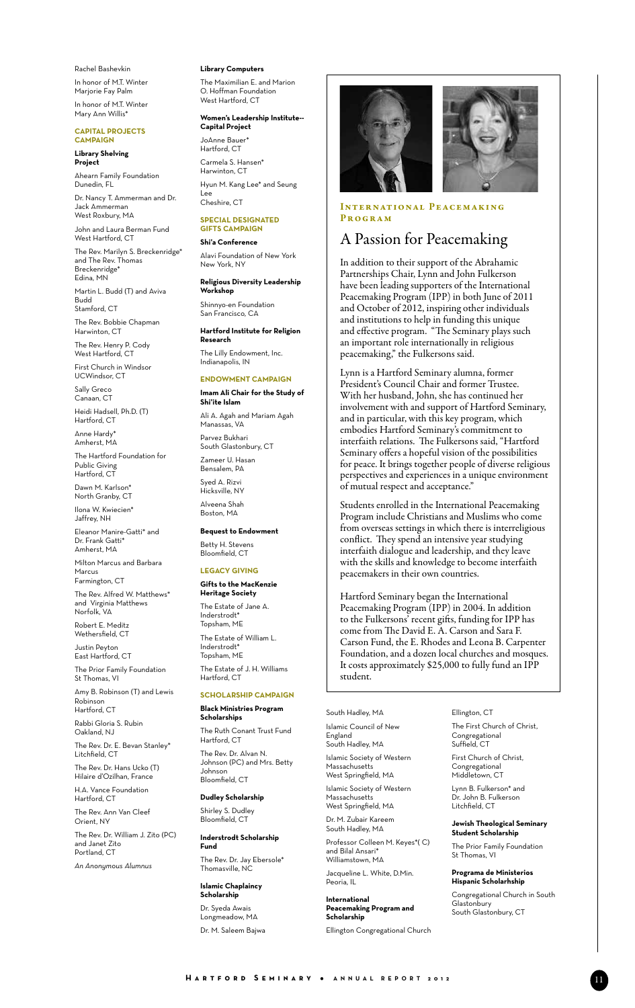Rachel Bashevkin In honor of M.T. Winter Marjorie Fay Palm In honor of M.T. Winter Mary Ann Willis\*

#### **Capital Projects campaign**

#### **Library Shelving Project**

Ahearn Family Foundation Dunedin, FL

Dr. Nancy T. Ammerman and Dr. Jack Ammerman West Roxbury, MA

John and Laura Berman Fund West Hartford, CT

The Rev. Marilyn S. Breckenridge\* and The Rev. Thomas Breckenridge\* Edina, MN

Martin L. Budd (T) and Aviva Budd Stamford, CT

The Rev. Bobbie Chapman Harwinton, CT

The Rev. Henry P. Cody West Hartford, CT

First Church in Windsor UCWindsor, CT

Sally Greco Canaan, CT

Heidi Hadsell, Ph.D. (T) Hartford, CT

Anne Hardy\* Amherst, MA

The Hartford Foundation for Public Giving Hartford, CT

Dawn M. Karlson<sup>\*</sup> North Granby, CT

Ilona W. Kwiecien\* Jaffrey, NH

Eleanor Manire-Gatti\* and Dr. Frank Gatti\* Amherst, MA

Milton Marcus and Barbara Marcus Farmington, CT

The Rev. Alfred W. Matthews\* and Virginia Matthews Norfolk, VA

Robert E. Meditz Wethersfield, CT

Justin Peyton East Hartford, CT

The Prior Family Foundation St Thomas, VI

Amy B. Robinson (T) and Lewis **Robinsor** Hartford, CT

Rabbi Gloria S. Rubin Oakland, NJ

The Rev. Dr. E. Bevan Stanley\* Litchfield, CT

The Rev. Dr. Hans Ucko (T) Hilaire d'Ozilhan, France H.A. Vance Foundation

Hartford, CT

The Rev. Ann Van Cleef Orient, NY

The Rev. Dr. William J. Zito (PC) and Janet Zito Portland, CT

*An Anonymous Alumnus*

#### **Library Computers**

The Maximilian E. and Marion O. Hoffman Foundation West Hartford, CT

#### **Women's Leadership Institute-- Capital Project**

JoAnne Bauer\* Hartford, CT Carmela S. Hansen\* Harwinton, CT Hyun M. Kang Lee\* and Seung Lee Cheshire, CT

#### **Special designated gifts campaign**

**Shi'a Conference** Alavi Foundation of New York

New York, NY **Religious Diversity Leadership** 

**Workshop** Shinnyo-en Foundation San Francisco, CA

**Hartford Institute for Religion** 

**Research** The Lilly Endowment, Inc. Indianapolis, IN

### **Endowment campaign**

**Imam Ali Chair for the Study of Shi'ite Islam** Ali A. Agah and Mariam Agah Manassas, VA Parvez Bukhari South Glastonbury, CT Zameer U. Hasan Bensalem, PA Syed A. Rizvi Hicksville, NY

Alveena Shah Boston, MA

**Bequest to Endowment** Betty H. Stevens Bloomfield, CT

### **Legacy Giving**

### **Gifts to the MacKenzie**

**Heritage Society** The Estate of Jane A. Inderstrodt<sup>\*</sup> Topsham, ME The Estate of William L. Inderstrodt\* Topsham, ME The Estate of J. H. Williams Hartford, CT

# **Scholarship campaign**

**Black Ministries Program Scholarships**

The Ruth Conant Trust Fund Hartford, CT The Rev. Dr. Alvan N. Johnson (PC) and Mrs. Betty Johnson Bloomfield, CT

**Dudley Scholarship** Shirley S. Dudley Bloomfield, CT

**Inderstrodt Scholarship Fund**

The Rev. Dr. Jay Ebersole\* Thomasville, NC

**Islamic Chaplaincy Scholarship** Dr. Syeda Awais

Longmeadow, MA Dr. M. Saleem Bajwa



#### INTERNATIONAL PEACEMAKING Program

# A Passion for Peacemaking

In addition to their support of the Abrahamic Partnerships Chair, Lynn and John Fulkerson have been leading supporters of the International Peacemaking Program (IPP) in both June of 2011 and October of 2012, inspiring other individuals and institutions to help in funding this unique and effective program. "The Seminary plays such an important role internationally in religious peacemaking," the Fulkersons said.

Lynn is a Hartford Seminary alumna, former President's Council Chair and former Trustee. With her husband, John, she has continued her involvement with and support of Hartford Seminary, and in particular, with this key program, which embodies Hartford Seminary's commitment to interfaith relations. The Fulkersons said, "Hartford Seminary offers a hopeful vision of the possibilities for peace. It brings together people of diverse religious perspectives and experiences in a unique environment of mutual respect and acceptance."

Students enrolled in the International Peacemaking Program include Christians and Muslims who come from overseas settings in which there is interreligious conflict. They spend an intensive year studying interfaith dialogue and leadership, and they leave with the skills and knowledge to become interfaith peacemakers in their own countries.

Hartford Seminary began the International Peacemaking Program (IPP) in 2004. In addition to the Fulkersons' recent gifts, funding for IPP has come from The David E. A. Carson and Sara F. Carson Fund, the E. Rhodes and Leona B. Carpenter Foundation, and a dozen local churches and mosques. It costs approximately \$25,000 to fully fund an IPP student.

South Hadley, MA Islamic Council of New England South Hadley, MA Islamic Society of Western **Massachusetts** West Springfield, MA Islamic Society of Western Massachusetts

West Springfield, MA Dr. M. Zubair Kareem South Hadley, MA Professor Colleen M. Keyes\*( C) and Bilal Ansari\*

Williamstown, MA Jacqueline L. White, D.Min. Peoria, IL

**International Peacemaking Program and Scholarship**

Ellington Congregational Church

Ellington, CT The First Church of Christ, Congregational Suffield, CT

First Church of Christ, Congregational Middletown, CT

Lynn B. Fulkerson\* and Dr. John B. Fulkerson Litchfield, CT

#### **Jewish Theological Seminary Student Scholarship**

The Prior Family Foundation St Thomas, VI

#### **Programa de Ministerios Hispanic Scholarhship**

Congregational Church in South **Glastonbury** South Glastonbury, CT